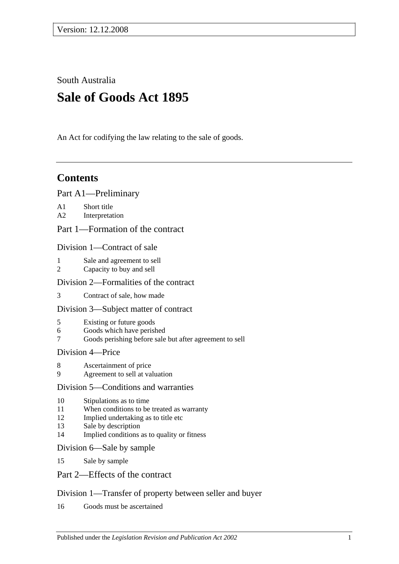South Australia

# **Sale of Goods Act 1895**

An Act for codifying the law relating to the sale of goods.

## **Contents**

[Part A1—Preliminary](#page-2-0)

A1 [Short title](#page-2-1)

A2 [Interpretation](#page-2-2)

[Part 1—Formation of the contract](#page-3-0)

[Division 1—Contract of sale](#page-3-1)

- 1 [Sale and agreement to sell](#page-3-2)
- 2 [Capacity to buy and sell](#page-4-0)

[Division 2—Formalities of the contract](#page-4-1)

3 [Contract of sale, how made](#page-4-2)

#### [Division 3—Subject matter of contract](#page-4-3)

- 5 [Existing or future goods](#page-4-4)
- 6 [Goods which have perished](#page-4-5)
- 7 [Goods perishing before sale but after agreement to sell](#page-4-6)

#### [Division 4—Price](#page-4-7)

- 8 [Ascertainment of price](#page-4-8)
- 9 [Agreement to sell at valuation](#page-5-0)

#### [Division 5—Conditions and warranties](#page-5-1)

- 10 [Stipulations as to time](#page-5-2)<br>11 When conditions to be
- [When conditions to be treated as warranty](#page-5-3)
- 12 [Implied undertaking as to title etc](#page-5-4)
- 13 [Sale by description](#page-6-0)
- 14 [Implied conditions as to quality or fitness](#page-6-1)

#### [Division 6—Sale by sample](#page-6-2)

15 [Sale by sample](#page-6-3)

#### [Part 2—Effects of the contract](#page-7-0)

#### [Division 1—Transfer of property between seller and buyer](#page-7-1)

16 [Goods must be ascertained](#page-7-2)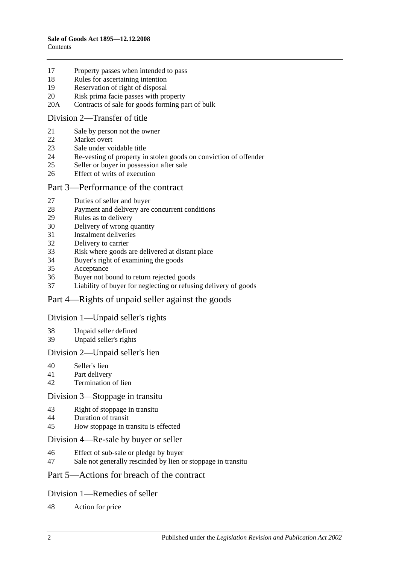- [Property passes when intended to pass](#page-7-3)
- [Rules for ascertaining intention](#page-7-4)
- [Reservation of right of disposal](#page-8-0)
- [Risk prima facie passes with property](#page-8-1)
- 20A [Contracts of sale for goods forming part of bulk](#page-8-2)

#### [Division 2—Transfer of title](#page-9-0)

- [Sale by person not the owner](#page-9-1)
- [Market overt](#page-10-0)
- [Sale under voidable title](#page-10-1)
- [Re-vesting of property in stolen goods on conviction of offender](#page-10-2)
- [Seller or buyer in possession after sale](#page-10-3)
- [Effect of writs of execution](#page-11-0)

#### [Part 3—Performance of the contract](#page-11-1)

- [Duties of seller and buyer](#page-11-2)
- [Payment and delivery are concurrent conditions](#page-11-3)
- [Rules as to delivery](#page-11-4)
- [Delivery of wrong quantity](#page-12-0)
- [Instalment deliveries](#page-12-1)
- [Delivery to carrier](#page-12-2)
- [Risk where goods are delivered at distant place](#page-13-0)
- [Buyer's right of examining the goods](#page-13-1)
- [Acceptance](#page-13-2)
- [Buyer not bound to return rejected goods](#page-13-3)
- [Liability of buyer for neglecting or refusing delivery of goods](#page-14-0)

#### [Part 4—Rights of unpaid seller against the goods](#page-14-1)

#### [Division 1—Unpaid seller's rights](#page-14-2)

- [Unpaid seller defined](#page-14-3)
- [Unpaid seller's rights](#page-14-4)

#### [Division 2—Unpaid seller's lien](#page-14-5)

- [Seller's lien](#page-14-6)
- [Part delivery](#page-15-0)
- [Termination of lien](#page-15-1)

#### [Division 3—Stoppage in transitu](#page-15-2)

- [Right of stoppage in transitu](#page-15-3)
- [Duration of transit](#page-15-4)
- How stoppage in [transitu is effected](#page-16-0)

#### [Division 4—Re-sale by buyer or seller](#page-16-1)

- [Effect of sub-sale or pledge by buyer](#page-16-2)<br>47 Sale not generally rescinded by lien of
- [Sale not generally rescinded by lien or stoppage in transitu](#page-16-3)

#### [Part 5—Actions for breach of the contract](#page-17-0)

#### [Division 1—Remedies of seller](#page-17-1)

[Action for price](#page-17-2)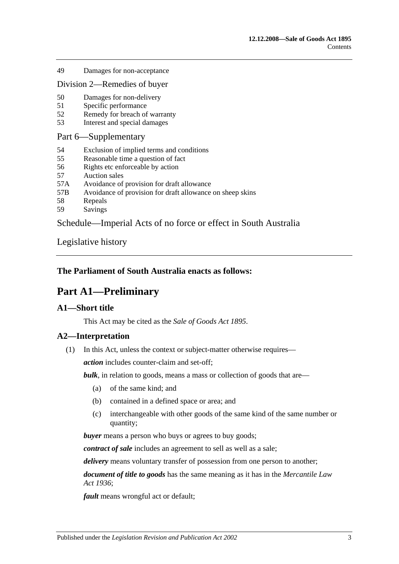#### 49 [Damages for non-acceptance](#page-17-3)

#### [Division 2—Remedies of buyer](#page-17-4)

- 50 [Damages for non-delivery](#page-17-5)
- 51 [Specific performance](#page-18-0)
- 52 [Remedy for breach of warranty](#page-18-1)
- 53 [Interest and special damages](#page-18-2)

#### [Part 6—Supplementary](#page-18-3)

- 54 [Exclusion of implied terms and conditions](#page-18-4)
- 55 [Reasonable time a question of fact](#page-18-5)
- 56 [Rights etc enforceable by action](#page-19-0)
- 57 [Auction sales](#page-19-1)
- 57A [Avoidance of provision for draft allowance](#page-19-2)
- 57B [Avoidance of provision for draft allowance on sheep skins](#page-19-3)
- 58 [Repeals](#page-19-4)
- 59 [Savings](#page-19-5)

#### [Schedule—Imperial Acts of no force or effect in South Australia](#page-20-0)

[Legislative history](#page-21-0)

#### <span id="page-2-0"></span>**The Parliament of South Australia enacts as follows:**

## **Part A1—Preliminary**

#### <span id="page-2-1"></span>**A1—Short title**

This Act may be cited as the *Sale of Goods Act 1895*.

#### <span id="page-2-2"></span>**A2—Interpretation**

(1) In this Act, unless the context or subject-matter otherwise requires—

*action* includes counter-claim and set-off;

*bulk*, in relation to goods, means a mass or collection of goods that are—

- (a) of the same kind; and
- (b) contained in a defined space or area; and
- (c) interchangeable with other goods of the same kind of the same number or quantity;

**buyer** means a person who buys or agrees to buy goods;

*contract of sale* includes an agreement to sell as well as a sale;

*delivery* means voluntary transfer of possession from one person to another;

*document of title to goods* has the same meaning as it has in the *[Mercantile Law](http://www.legislation.sa.gov.au/index.aspx?action=legref&type=act&legtitle=Mercantile%20Law%20Act%201936)  Act [1936](http://www.legislation.sa.gov.au/index.aspx?action=legref&type=act&legtitle=Mercantile%20Law%20Act%201936)*;

*fault* means wrongful act or default;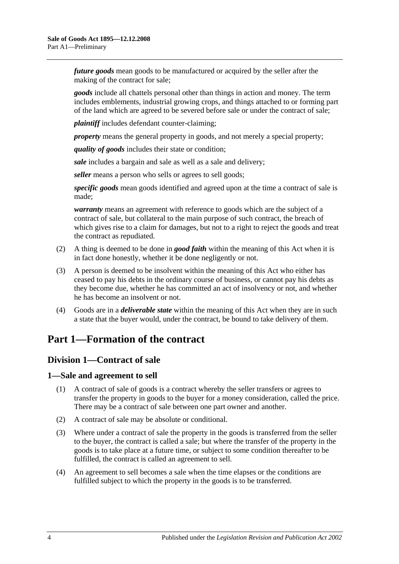*future goods* mean goods to be manufactured or acquired by the seller after the making of the contract for sale;

*goods* include all chattels personal other than things in action and money. The term includes emblements, industrial growing crops, and things attached to or forming part of the land which are agreed to be severed before sale or under the contract of sale;

*plaintiff* includes defendant counter-claiming;

*property* means the general property in goods, and not merely a special property;

*quality of goods* includes their state or condition;

*sale* includes a bargain and sale as well as a sale and delivery;

*seller* means a person who sells or agrees to sell goods;

*specific goods* mean goods identified and agreed upon at the time a contract of sale is made;

*warranty* means an agreement with reference to goods which are the subject of a contract of sale, but collateral to the main purpose of such contract, the breach of which gives rise to a claim for damages, but not to a right to reject the goods and treat the contract as repudiated.

- (2) A thing is deemed to be done in *good faith* within the meaning of this Act when it is in fact done honestly, whether it be done negligently or not.
- (3) A person is deemed to be insolvent within the meaning of this Act who either has ceased to pay his debts in the ordinary course of business, or cannot pay his debts as they become due, whether he has committed an act of insolvency or not, and whether he has become an insolvent or not.
- (4) Goods are in a *deliverable state* within the meaning of this Act when they are in such a state that the buyer would, under the contract, be bound to take delivery of them.

## <span id="page-3-0"></span>**Part 1—Formation of the contract**

### <span id="page-3-1"></span>**Division 1—Contract of sale**

#### <span id="page-3-2"></span>**1—Sale and agreement to sell**

- (1) A contract of sale of goods is a contract whereby the seller transfers or agrees to transfer the property in goods to the buyer for a money consideration, called the price. There may be a contract of sale between one part owner and another.
- (2) A contract of sale may be absolute or conditional.
- (3) Where under a contract of sale the property in the goods is transferred from the seller to the buyer, the contract is called a sale; but where the transfer of the property in the goods is to take place at a future time, or subject to some condition thereafter to be fulfilled, the contract is called an agreement to sell.
- (4) An agreement to sell becomes a sale when the time elapses or the conditions are fulfilled subject to which the property in the goods is to be transferred.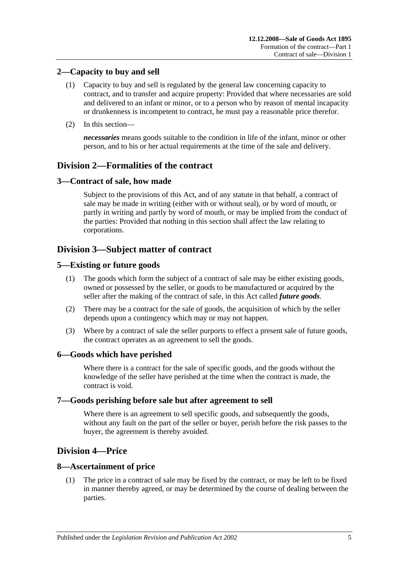#### <span id="page-4-0"></span>**2—Capacity to buy and sell**

- (1) Capacity to buy and sell is regulated by the general law concerning capacity to contract, and to transfer and acquire property: Provided that where necessaries are sold and delivered to an infant or minor, or to a person who by reason of mental incapacity or drunkenness is incompetent to contract, he must pay a reasonable price therefor.
- (2) In this section—

*necessaries* means goods suitable to the condition in life of the infant, minor or other person, and to his or her actual requirements at the time of the sale and delivery.

## <span id="page-4-1"></span>**Division 2—Formalities of the contract**

#### <span id="page-4-2"></span>**3—Contract of sale, how made**

Subject to the provisions of this Act, and of any statute in that behalf, a contract of sale may be made in writing (either with or without seal), or by word of mouth, or partly in writing and partly by word of mouth, or may be implied from the conduct of the parties: Provided that nothing in this section shall affect the law relating to corporations.

## <span id="page-4-3"></span>**Division 3—Subject matter of contract**

#### <span id="page-4-4"></span>**5—Existing or future goods**

- (1) The goods which form the subject of a contract of sale may be either existing goods, owned or possessed by the seller, or goods to be manufactured or acquired by the seller after the making of the contract of sale, in this Act called *future goods*.
- (2) There may be a contract for the sale of goods, the acquisition of which by the seller depends upon a contingency which may or may not happen.
- (3) Where by a contract of sale the seller purports to effect a present sale of future goods, the contract operates as an agreement to sell the goods.

#### <span id="page-4-5"></span>**6—Goods which have perished**

Where there is a contract for the sale of specific goods, and the goods without the knowledge of the seller have perished at the time when the contract is made, the contract is void.

#### <span id="page-4-6"></span>**7—Goods perishing before sale but after agreement to sell**

Where there is an agreement to sell specific goods, and subsequently the goods, without any fault on the part of the seller or buyer, perish before the risk passes to the buyer, the agreement is thereby avoided.

### <span id="page-4-7"></span>**Division 4—Price**

#### <span id="page-4-8"></span>**8—Ascertainment of price**

(1) The price in a contract of sale may be fixed by the contract, or may be left to be fixed in manner thereby agreed, or may be determined by the course of dealing between the parties.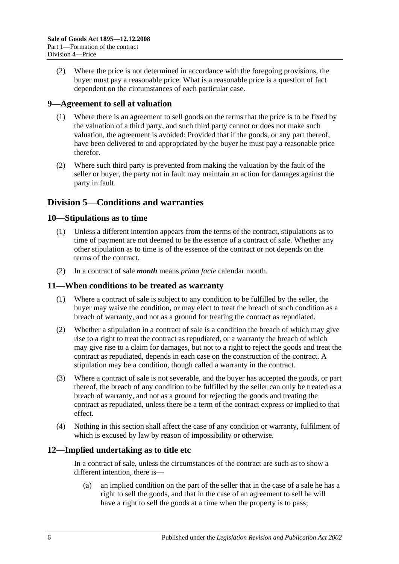(2) Where the price is not determined in accordance with the foregoing provisions, the buyer must pay a reasonable price. What is a reasonable price is a question of fact dependent on the circumstances of each particular case.

#### <span id="page-5-0"></span>**9—Agreement to sell at valuation**

- (1) Where there is an agreement to sell goods on the terms that the price is to be fixed by the valuation of a third party, and such third party cannot or does not make such valuation, the agreement is avoided: Provided that if the goods, or any part thereof, have been delivered to and appropriated by the buyer he must pay a reasonable price therefor.
- (2) Where such third party is prevented from making the valuation by the fault of the seller or buyer, the party not in fault may maintain an action for damages against the party in fault.

## <span id="page-5-1"></span>**Division 5—Conditions and warranties**

#### <span id="page-5-2"></span>**10—Stipulations as to time**

- (1) Unless a different intention appears from the terms of the contract, stipulations as to time of payment are not deemed to be the essence of a contract of sale. Whether any other stipulation as to time is of the essence of the contract or not depends on the terms of the contract.
- (2) In a contract of sale *month* means *prima facie* calendar month.

#### <span id="page-5-3"></span>**11—When conditions to be treated as warranty**

- (1) Where a contract of sale is subject to any condition to be fulfilled by the seller, the buyer may waive the condition, or may elect to treat the breach of such condition as a breach of warranty, and not as a ground for treating the contract as repudiated.
- (2) Whether a stipulation in a contract of sale is a condition the breach of which may give rise to a right to treat the contract as repudiated, or a warranty the breach of which may give rise to a claim for damages, but not to a right to reject the goods and treat the contract as repudiated, depends in each case on the construction of the contract. A stipulation may be a condition, though called a warranty in the contract.
- (3) Where a contract of sale is not severable, and the buyer has accepted the goods, or part thereof, the breach of any condition to be fulfilled by the seller can only be treated as a breach of warranty, and not as a ground for rejecting the goods and treating the contract as repudiated, unless there be a term of the contract express or implied to that effect.
- (4) Nothing in this section shall affect the case of any condition or warranty, fulfilment of which is excused by law by reason of impossibility or otherwise.

#### <span id="page-5-4"></span>**12—Implied undertaking as to title etc**

In a contract of sale, unless the circumstances of the contract are such as to show a different intention, there is—

(a) an implied condition on the part of the seller that in the case of a sale he has a right to sell the goods, and that in the case of an agreement to sell he will have a right to sell the goods at a time when the property is to pass;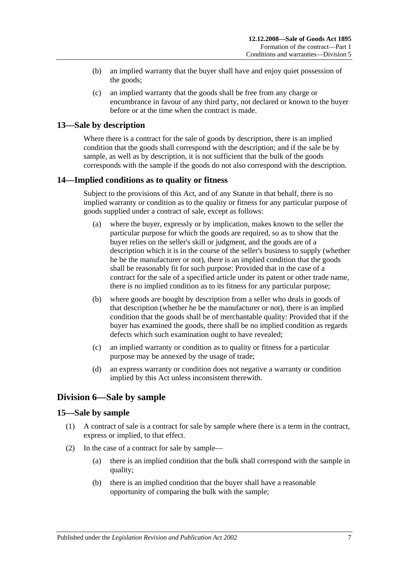- (b) an implied warranty that the buyer shall have and enjoy quiet possession of the goods;
- (c) an implied warranty that the goods shall be free from any charge or encumbrance in favour of any third party, not declared or known to the buyer before or at the time when the contract is made.

#### <span id="page-6-0"></span>**13—Sale by description**

Where there is a contract for the sale of goods by description, there is an implied condition that the goods shall correspond with the description; and if the sale be by sample, as well as by description, it is not sufficient that the bulk of the goods corresponds with the sample if the goods do not also correspond with the description.

#### <span id="page-6-1"></span>**14—Implied conditions as to quality or fitness**

Subject to the provisions of this Act, and of any Statute in that behalf, there is no implied warranty or condition as to the quality or fitness for any particular purpose of goods supplied under a contract of sale, except as follows:

- (a) where the buyer, expressly or by implication, makes known to the seller the particular purpose for which the goods are required, so as to show that the buyer relies on the seller's skill or judgment, and the goods are of a description which it is in the course of the seller's business to supply (whether he be the manufacturer or not), there is an implied condition that the goods shall be reasonably fit for such purpose: Provided that in the case of a contract for the sale of a specified article under its patent or other trade name, there is no implied condition as to its fitness for any particular purpose;
- (b) where goods are bought by description from a seller who deals in goods of that description (whether he be the manufacturer or not), there is an implied condition that the goods shall be of merchantable quality: Provided that if the buyer has examined the goods, there shall be no implied condition as regards defects which such examination ought to have revealed;
- (c) an implied warranty or condition as to quality or fitness for a particular purpose may be annexed by the usage of trade;
- (d) an express warranty or condition does not negative a warranty or condition implied by this Act unless inconsistent therewith.

### <span id="page-6-2"></span>**Division 6—Sale by sample**

#### <span id="page-6-3"></span>**15—Sale by sample**

- (1) A contract of sale is a contract for sale by sample where there is a term in the contract, express or implied, to that effect.
- (2) In the case of a contract for sale by sample—
	- (a) there is an implied condition that the bulk shall correspond with the sample in quality;
	- (b) there is an implied condition that the buyer shall have a reasonable opportunity of comparing the bulk with the sample;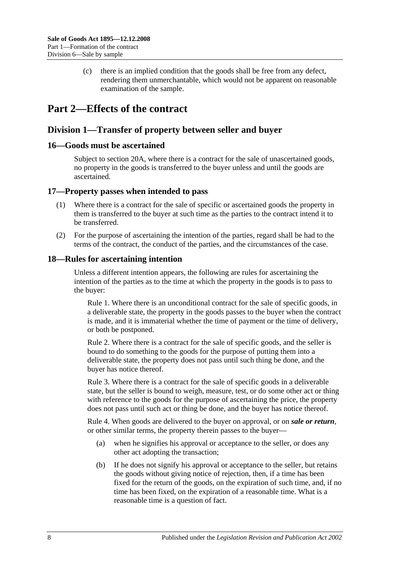(c) there is an implied condition that the goods shall be free from any defect, rendering them unmerchantable, which would not be apparent on reasonable examination of the sample.

## <span id="page-7-1"></span><span id="page-7-0"></span>**Part 2—Effects of the contract**

## **Division 1—Transfer of property between seller and buyer**

#### <span id="page-7-2"></span>**16—Goods must be ascertained**

Subject to [section](#page-8-2) 20A, where there is a contract for the sale of unascertained goods, no property in the goods is transferred to the buyer unless and until the goods are ascertained.

#### <span id="page-7-3"></span>**17—Property passes when intended to pass**

- (1) Where there is a contract for the sale of specific or ascertained goods the property in them is transferred to the buyer at such time as the parties to the contract intend it to be transferred.
- (2) For the purpose of ascertaining the intention of the parties, regard shall be had to the terms of the contract, the conduct of the parties, and the circumstances of the case.

#### <span id="page-7-4"></span>**18—Rules for ascertaining intention**

Unless a different intention appears, the following are rules for ascertaining the intention of the parties as to the time at which the property in the goods is to pass to the buyer:

Rule 1. Where there is an unconditional contract for the sale of specific goods, in a deliverable state, the property in the goods passes to the buyer when the contract is made, and it is immaterial whether the time of payment or the time of delivery, or both be postponed.

Rule 2. Where there is a contract for the sale of specific goods, and the seller is bound to do something to the goods for the purpose of putting them into a deliverable state, the property does not pass until such thing be done, and the buyer has notice thereof.

Rule 3. Where there is a contract for the sale of specific goods in a deliverable state, but the seller is bound to weigh, measure, test, or do some other act or thing with reference to the goods for the purpose of ascertaining the price, the property does not pass until such act or thing be done, and the buyer has notice thereof.

Rule 4. When goods are delivered to the buyer on approval, or on *sale or return*, or other similar terms, the property therein passes to the buyer—

- (a) when he signifies his approval or acceptance to the seller, or does any other act adopting the transaction;
- (b) If he does not signify his approval or acceptance to the seller, but retains the goods without giving notice of rejection, then, if a time has been fixed for the return of the goods, on the expiration of such time, and, if no time has been fixed, on the expiration of a reasonable time. What is a reasonable time is a question of fact.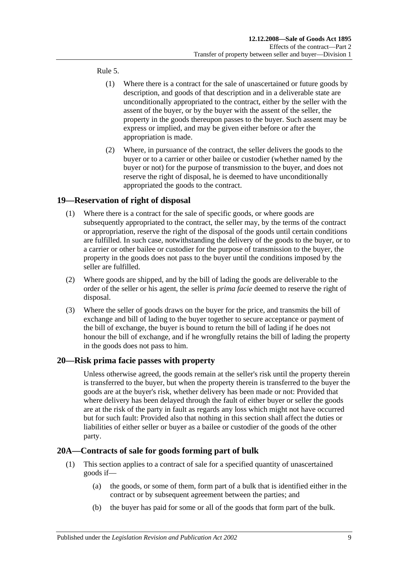Rule 5.

- (1) Where there is a contract for the sale of unascertained or future goods by description, and goods of that description and in a deliverable state are unconditionally appropriated to the contract, either by the seller with the assent of the buyer, or by the buyer with the assent of the seller, the property in the goods thereupon passes to the buyer. Such assent may be express or implied, and may be given either before or after the appropriation is made.
- (2) Where, in pursuance of the contract, the seller delivers the goods to the buyer or to a carrier or other bailee or custodier (whether named by the buyer or not) for the purpose of transmission to the buyer, and does not reserve the right of disposal, he is deemed to have unconditionally appropriated the goods to the contract.

### <span id="page-8-0"></span>**19—Reservation of right of disposal**

- (1) Where there is a contract for the sale of specific goods, or where goods are subsequently appropriated to the contract, the seller may, by the terms of the contract or appropriation, reserve the right of the disposal of the goods until certain conditions are fulfilled. In such case, notwithstanding the delivery of the goods to the buyer, or to a carrier or other bailee or custodier for the purpose of transmission to the buyer, the property in the goods does not pass to the buyer until the conditions imposed by the seller are fulfilled.
- (2) Where goods are shipped, and by the bill of lading the goods are deliverable to the order of the seller or his agent, the seller is *prima facie* deemed to reserve the right of disposal.
- (3) Where the seller of goods draws on the buyer for the price, and transmits the bill of exchange and bill of lading to the buyer together to secure acceptance or payment of the bill of exchange, the buyer is bound to return the bill of lading if he does not honour the bill of exchange, and if he wrongfully retains the bill of lading the property in the goods does not pass to him.

#### <span id="page-8-1"></span>**20—Risk prima facie passes with property**

Unless otherwise agreed, the goods remain at the seller's risk until the property therein is transferred to the buyer, but when the property therein is transferred to the buyer the goods are at the buyer's risk, whether delivery has been made or not: Provided that where delivery has been delayed through the fault of either buyer or seller the goods are at the risk of the party in fault as regards any loss which might not have occurred but for such fault: Provided also that nothing in this section shall affect the duties or liabilities of either seller or buyer as a bailee or custodier of the goods of the other party.

### <span id="page-8-3"></span><span id="page-8-2"></span>**20A—Contracts of sale for goods forming part of bulk**

- (1) This section applies to a contract of sale for a specified quantity of unascertained goods if—
	- (a) the goods, or some of them, form part of a bulk that is identified either in the contract or by subsequent agreement between the parties; and
	- (b) the buyer has paid for some or all of the goods that form part of the bulk.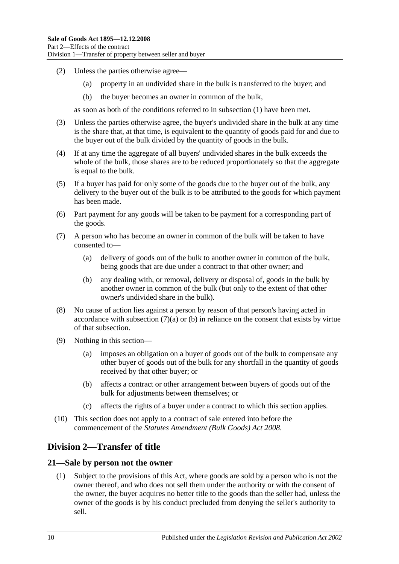- (2) Unless the parties otherwise agree—
	- (a) property in an undivided share in the bulk is transferred to the buyer; and
	- (b) the buyer becomes an owner in common of the bulk,

as soon as both of the conditions referred to in [subsection](#page-8-3) (1) have been met.

- (3) Unless the parties otherwise agree, the buyer's undivided share in the bulk at any time is the share that, at that time, is equivalent to the quantity of goods paid for and due to the buyer out of the bulk divided by the quantity of goods in the bulk.
- (4) If at any time the aggregate of all buyers' undivided shares in the bulk exceeds the whole of the bulk, those shares are to be reduced proportionately so that the aggregate is equal to the bulk.
- (5) If a buyer has paid for only some of the goods due to the buyer out of the bulk, any delivery to the buyer out of the bulk is to be attributed to the goods for which payment has been made.
- (6) Part payment for any goods will be taken to be payment for a corresponding part of the goods.
- <span id="page-9-2"></span>(7) A person who has become an owner in common of the bulk will be taken to have consented to—
	- (a) delivery of goods out of the bulk to another owner in common of the bulk, being goods that are due under a contract to that other owner; and
	- (b) any dealing with, or removal, delivery or disposal of, goods in the bulk by another owner in common of the bulk (but only to the extent of that other owner's undivided share in the bulk).
- <span id="page-9-3"></span>(8) No cause of action lies against a person by reason of that person's having acted in accordance with [subsection](#page-9-2) (7)(a) or [\(b\)](#page-9-3) in reliance on the consent that exists by virtue of that subsection.
- (9) Nothing in this section—
	- (a) imposes an obligation on a buyer of goods out of the bulk to compensate any other buyer of goods out of the bulk for any shortfall in the quantity of goods received by that other buyer; or
	- (b) affects a contract or other arrangement between buyers of goods out of the bulk for adjustments between themselves; or
	- (c) affects the rights of a buyer under a contract to which this section applies.
- (10) This section does not apply to a contract of sale entered into before the commencement of the *[Statutes Amendment \(Bulk Goods\) Act](http://www.legislation.sa.gov.au/index.aspx?action=legref&type=act&legtitle=Statutes%20Amendment%20(Bulk%20Goods)%20Act%202008) 2008*.

## <span id="page-9-0"></span>**Division 2—Transfer of title**

#### <span id="page-9-1"></span>**21—Sale by person not the owner**

(1) Subject to the provisions of this Act, where goods are sold by a person who is not the owner thereof, and who does not sell them under the authority or with the consent of the owner, the buyer acquires no better title to the goods than the seller had, unless the owner of the goods is by his conduct precluded from denying the seller's authority to sell.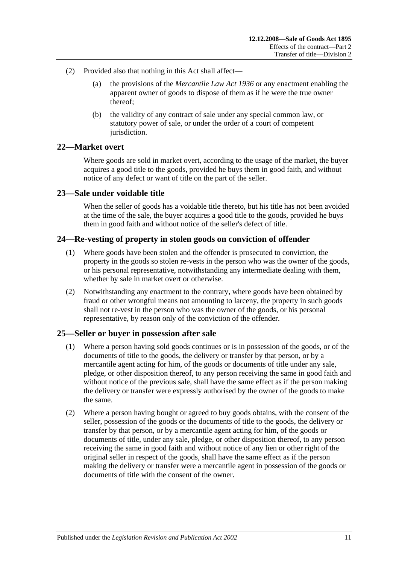- (2) Provided also that nothing in this Act shall affect—
	- (a) the provisions of the *[Mercantile Law Act](http://www.legislation.sa.gov.au/index.aspx?action=legref&type=act&legtitle=Mercantile%20Law%20Act%201936) 1936* or any enactment enabling the apparent owner of goods to dispose of them as if he were the true owner thereof;
	- (b) the validity of any contract of sale under any special common law, or statutory power of sale, or under the order of a court of competent jurisdiction.

#### <span id="page-10-0"></span>**22—Market overt**

Where goods are sold in market overt, according to the usage of the market, the buyer acquires a good title to the goods, provided he buys them in good faith, and without notice of any defect or want of title on the part of the seller.

#### <span id="page-10-1"></span>**23—Sale under voidable title**

When the seller of goods has a voidable title thereto, but his title has not been avoided at the time of the sale, the buyer acquires a good title to the goods, provided he buys them in good faith and without notice of the seller's defect of title.

#### <span id="page-10-2"></span>**24—Re-vesting of property in stolen goods on conviction of offender**

- (1) Where goods have been stolen and the offender is prosecuted to conviction, the property in the goods so stolen re-vests in the person who was the owner of the goods, or his personal representative, notwithstanding any intermediate dealing with them, whether by sale in market overt or otherwise.
- (2) Notwithstanding any enactment to the contrary, where goods have been obtained by fraud or other wrongful means not amounting to larceny, the property in such goods shall not re-vest in the person who was the owner of the goods, or his personal representative, by reason only of the conviction of the offender.

#### <span id="page-10-3"></span>**25—Seller or buyer in possession after sale**

- (1) Where a person having sold goods continues or is in possession of the goods, or of the documents of title to the goods, the delivery or transfer by that person, or by a mercantile agent acting for him, of the goods or documents of title under any sale, pledge, or other disposition thereof, to any person receiving the same in good faith and without notice of the previous sale, shall have the same effect as if the person making the delivery or transfer were expressly authorised by the owner of the goods to make the same.
- <span id="page-10-4"></span>(2) Where a person having bought or agreed to buy goods obtains, with the consent of the seller, possession of the goods or the documents of title to the goods, the delivery or transfer by that person, or by a mercantile agent acting for him, of the goods or documents of title, under any sale, pledge, or other disposition thereof, to any person receiving the same in good faith and without notice of any lien or other right of the original seller in respect of the goods, shall have the same effect as if the person making the delivery or transfer were a mercantile agent in possession of the goods or documents of title with the consent of the owner.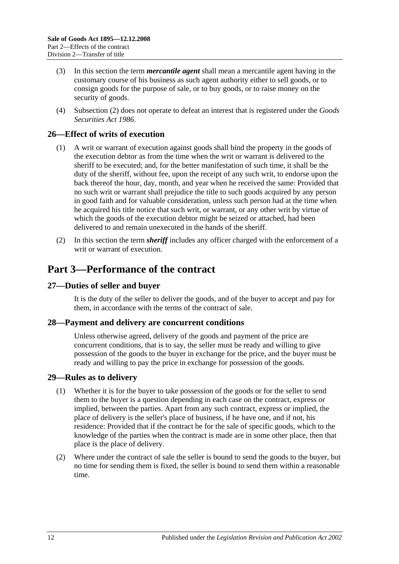- (3) In this section the term *mercantile agent* shall mean a mercantile agent having in the customary course of his business as such agent authority either to sell goods, or to consign goods for the purpose of sale, or to buy goods, or to raise money on the security of goods.
- (4) [Subsection](#page-10-4) (2) does not operate to defeat an interest that is registered under the *[Goods](http://www.legislation.sa.gov.au/index.aspx?action=legref&type=act&legtitle=Goods%20Securities%20Act%201986)  [Securities Act](http://www.legislation.sa.gov.au/index.aspx?action=legref&type=act&legtitle=Goods%20Securities%20Act%201986) 1986*.

#### <span id="page-11-0"></span>**26—Effect of writs of execution**

- (1) A writ or warrant of execution against goods shall bind the property in the goods of the execution debtor as from the time when the writ or warrant is delivered to the sheriff to be executed; and, for the better manifestation of such time, it shall be the duty of the sheriff, without fee, upon the receipt of any such writ, to endorse upon the back thereof the hour, day, month, and year when he received the same: Provided that no such writ or warrant shall prejudice the title to such goods acquired by any person in good faith and for valuable consideration, unless such person had at the time when he acquired his title notice that such writ, or warrant, or any other writ by virtue of which the goods of the execution debtor might be seized or attached, had been delivered to and remain unexecuted in the hands of the sheriff.
- (2) In this section the term *sheriff* includes any officer charged with the enforcement of a writ or warrant of execution.

## <span id="page-11-1"></span>**Part 3—Performance of the contract**

#### <span id="page-11-2"></span>**27—Duties of seller and buyer**

It is the duty of the seller to deliver the goods, and of the buyer to accept and pay for them, in accordance with the terms of the contract of sale.

#### <span id="page-11-3"></span>**28—Payment and delivery are concurrent conditions**

Unless otherwise agreed, delivery of the goods and payment of the price are concurrent conditions, that is to say, the seller must be ready and willing to give possession of the goods to the buyer in exchange for the price, and the buyer must be ready and willing to pay the price in exchange for possession of the goods.

#### <span id="page-11-4"></span>**29—Rules as to delivery**

- (1) Whether it is for the buyer to take possession of the goods or for the seller to send them to the buyer is a question depending in each case on the contract, express or implied, between the parties. Apart from any such contract, express or implied, the place of delivery is the seller's place of business, if he have one, and if not, his residence: Provided that if the contract be for the sale of specific goods, which to the knowledge of the parties when the contract is made are in some other place, then that place is the place of delivery.
- (2) Where under the contract of sale the seller is bound to send the goods to the buyer, but no time for sending them is fixed, the seller is bound to send them within a reasonable time.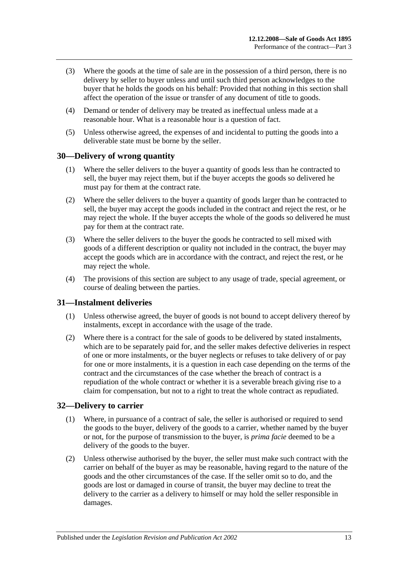- (3) Where the goods at the time of sale are in the possession of a third person, there is no delivery by seller to buyer unless and until such third person acknowledges to the buyer that he holds the goods on his behalf: Provided that nothing in this section shall affect the operation of the issue or transfer of any document of title to goods.
- (4) Demand or tender of delivery may be treated as ineffectual unless made at a reasonable hour. What is a reasonable hour is a question of fact.
- (5) Unless otherwise agreed, the expenses of and incidental to putting the goods into a deliverable state must be borne by the seller.

#### <span id="page-12-0"></span>**30—Delivery of wrong quantity**

- (1) Where the seller delivers to the buyer a quantity of goods less than he contracted to sell, the buyer may reject them, but if the buyer accepts the goods so delivered he must pay for them at the contract rate.
- (2) Where the seller delivers to the buyer a quantity of goods larger than he contracted to sell, the buyer may accept the goods included in the contract and reject the rest, or he may reject the whole. If the buyer accepts the whole of the goods so delivered he must pay for them at the contract rate.
- (3) Where the seller delivers to the buyer the goods he contracted to sell mixed with goods of a different description or quality not included in the contract, the buyer may accept the goods which are in accordance with the contract, and reject the rest, or he may reject the whole.
- (4) The provisions of this section are subject to any usage of trade, special agreement, or course of dealing between the parties.

#### <span id="page-12-1"></span>**31—Instalment deliveries**

- (1) Unless otherwise agreed, the buyer of goods is not bound to accept delivery thereof by instalments, except in accordance with the usage of the trade.
- (2) Where there is a contract for the sale of goods to be delivered by stated instalments, which are to be separately paid for, and the seller makes defective deliveries in respect of one or more instalments, or the buyer neglects or refuses to take delivery of or pay for one or more instalments, it is a question in each case depending on the terms of the contract and the circumstances of the case whether the breach of contract is a repudiation of the whole contract or whether it is a severable breach giving rise to a claim for compensation, but not to a right to treat the whole contract as repudiated.

#### <span id="page-12-2"></span>**32—Delivery to carrier**

- (1) Where, in pursuance of a contract of sale, the seller is authorised or required to send the goods to the buyer, delivery of the goods to a carrier, whether named by the buyer or not, for the purpose of transmission to the buyer, is *prima facie* deemed to be a delivery of the goods to the buyer.
- (2) Unless otherwise authorised by the buyer, the seller must make such contract with the carrier on behalf of the buyer as may be reasonable, having regard to the nature of the goods and the other circumstances of the case. If the seller omit so to do, and the goods are lost or damaged in course of transit, the buyer may decline to treat the delivery to the carrier as a delivery to himself or may hold the seller responsible in damages.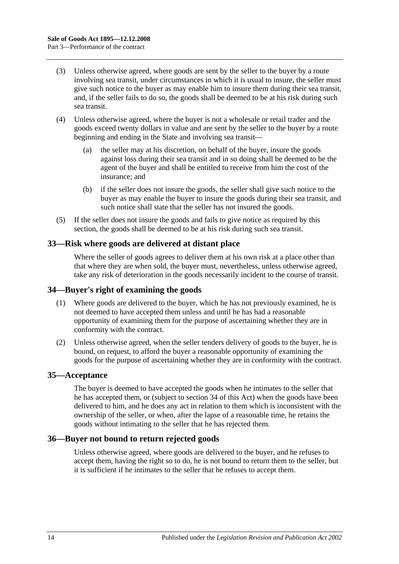- (3) Unless otherwise agreed, where goods are sent by the seller to the buyer by a route involving sea transit, under circumstances in which it is usual to insure, the seller must give such notice to the buyer as may enable him to insure them during their sea transit, and, if the seller fails to do so, the goods shall be deemed to be at his risk during such sea transit.
- (4) Unless otherwise agreed, where the buyer is not a wholesale or retail trader and the goods exceed twenty dollars in value and are sent by the seller to the buyer by a route beginning and ending in the State and involving sea transit—
	- (a) the seller may at his discretion, on behalf of the buyer, insure the goods against loss during their sea transit and in so doing shall be deemed to be the agent of the buyer and shall be entitled to receive from him the cost of the insurance; and
	- (b) if the seller does not insure the goods, the seller shall give such notice to the buyer as may enable the buyer to insure the goods during their sea transit, and such notice shall state that the seller has not insured the goods.
- (5) If the seller does not insure the goods and fails to give notice as required by this section, the goods shall be deemed to be at his risk during such sea transit.

#### <span id="page-13-0"></span>**33—Risk where goods are delivered at distant place**

Where the seller of goods agrees to deliver them at his own risk at a place other than that where they are when sold, the buyer must, nevertheless, unless otherwise agreed, take any risk of deterioration in the goods necessarily incident to the course of transit.

### <span id="page-13-1"></span>**34—Buyer's right of examining the goods**

- (1) Where goods are delivered to the buyer, which he has not previously examined, he is not deemed to have accepted them unless and until he has had a reasonable opportunity of examining them for the purpose of ascertaining whether they are in conformity with the contract.
- (2) Unless otherwise agreed, when the seller tenders delivery of goods to the buyer, he is bound, on request, to afford the buyer a reasonable opportunity of examining the goods for the purpose of ascertaining whether they are in conformity with the contract.

#### <span id="page-13-2"></span>**35—Acceptance**

The buyer is deemed to have accepted the goods when he intimates to the seller that he has accepted them, or (subject to [section](#page-13-1) 34 of this Act) when the goods have been delivered to him, and he does any act in relation to them which is inconsistent with the ownership of the seller, or when, after the lapse of a reasonable time, he retains the goods without intimating to the seller that he has rejected them.

#### <span id="page-13-3"></span>**36—Buyer not bound to return rejected goods**

Unless otherwise agreed, where goods are delivered to the buyer, and he refuses to accept them, having the right so to do, he is not bound to return them to the seller, but it is sufficient if he intimates to the seller that he refuses to accept them.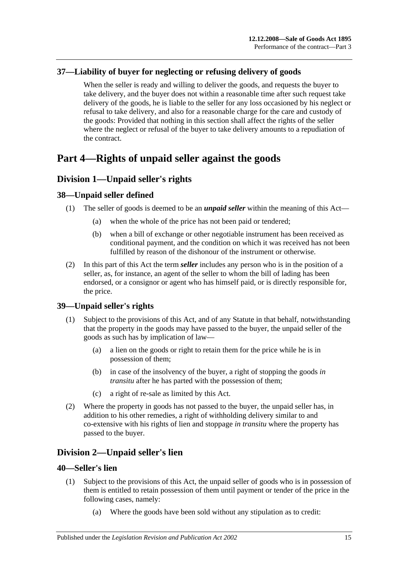#### <span id="page-14-0"></span>**37—Liability of buyer for neglecting or refusing delivery of goods**

When the seller is ready and willing to deliver the goods, and requests the buyer to take delivery, and the buyer does not within a reasonable time after such request take delivery of the goods, he is liable to the seller for any loss occasioned by his neglect or refusal to take delivery, and also for a reasonable charge for the care and custody of the goods: Provided that nothing in this section shall affect the rights of the seller where the neglect or refusal of the buyer to take delivery amounts to a repudiation of the contract.

## <span id="page-14-1"></span>**Part 4—Rights of unpaid seller against the goods**

### <span id="page-14-2"></span>**Division 1—Unpaid seller's rights**

#### <span id="page-14-3"></span>**38—Unpaid seller defined**

- (1) The seller of goods is deemed to be an *unpaid seller* within the meaning of this Act—
	- (a) when the whole of the price has not been paid or tendered;
	- (b) when a bill of exchange or other negotiable instrument has been received as conditional payment, and the condition on which it was received has not been fulfilled by reason of the dishonour of the instrument or otherwise.
- (2) In this part of this Act the term *seller* includes any person who is in the position of a seller, as, for instance, an agent of the seller to whom the bill of lading has been endorsed, or a consignor or agent who has himself paid, or is directly responsible for, the price.

#### <span id="page-14-4"></span>**39—Unpaid seller's rights**

- (1) Subject to the provisions of this Act, and of any Statute in that behalf, notwithstanding that the property in the goods may have passed to the buyer, the unpaid seller of the goods as such has by implication of law—
	- (a) a lien on the goods or right to retain them for the price while he is in possession of them;
	- (b) in case of the insolvency of the buyer, a right of stopping the goods *in transitu* after he has parted with the possession of them;
	- (c) a right of re-sale as limited by this Act.
- (2) Where the property in goods has not passed to the buyer, the unpaid seller has, in addition to his other remedies, a right of withholding delivery similar to and co-extensive with his rights of lien and stoppage *in transitu* where the property has passed to the buyer.

### <span id="page-14-5"></span>**Division 2—Unpaid seller's lien**

#### <span id="page-14-6"></span>**40—Seller's lien**

- (1) Subject to the provisions of this Act, the unpaid seller of goods who is in possession of them is entitled to retain possession of them until payment or tender of the price in the following cases, namely:
	- (a) Where the goods have been sold without any stipulation as to credit: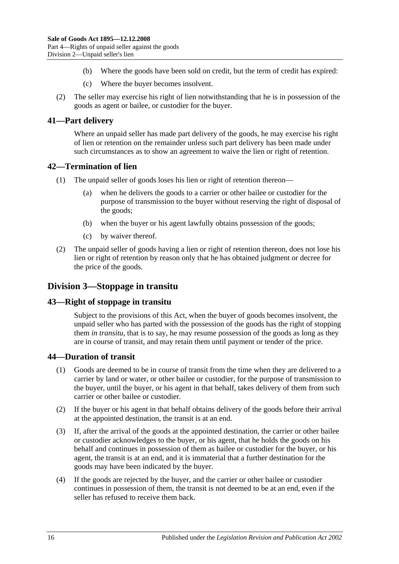- (b) Where the goods have been sold on credit, but the term of credit has expired:
- (c) Where the buyer becomes insolvent.
- (2) The seller may exercise his right of lien notwithstanding that he is in possession of the goods as agent or bailee, or custodier for the buyer.

#### <span id="page-15-0"></span>**41—Part delivery**

Where an unpaid seller has made part delivery of the goods, he may exercise his right of lien or retention on the remainder unless such part delivery has been made under such circumstances as to show an agreement to waive the lien or right of retention.

#### <span id="page-15-1"></span>**42—Termination of lien**

- (1) The unpaid seller of goods loses his lien or right of retention thereon—
	- (a) when he delivers the goods to a carrier or other bailee or custodier for the purpose of transmission to the buyer without reserving the right of disposal of the goods;
	- (b) when the buyer or his agent lawfully obtains possession of the goods;
	- (c) by waiver thereof.
- (2) The unpaid seller of goods having a lien or right of retention thereon, does not lose his lien or right of retention by reason only that he has obtained judgment or decree for the price of the goods.

### <span id="page-15-2"></span>**Division 3—Stoppage in transitu**

#### <span id="page-15-3"></span>**43—Right of stoppage in transitu**

Subject to the provisions of this Act, when the buyer of goods becomes insolvent, the unpaid seller who has parted with the possession of the goods has the right of stopping them *in transitu*, that is to say, he may resume possession of the goods as long as they are in course of transit, and may retain them until payment or tender of the price.

#### <span id="page-15-4"></span>**44—Duration of transit**

- (1) Goods are deemed to be in course of transit from the time when they are delivered to a carrier by land or water, or other bailee or custodier, for the purpose of transmission to the buyer, until the buyer, or his agent in that behalf, takes delivery of them from such carrier or other bailee or custodier.
- (2) If the buyer or his agent in that behalf obtains delivery of the goods before their arrival at the appointed destination, the transit is at an end.
- (3) If, after the arrival of the goods at the appointed destination, the carrier or other bailee or custodier acknowledges to the buyer, or his agent, that he holds the goods on his behalf and continues in possession of them as bailee or custodier for the buyer, or his agent, the transit is at an end, and it is immaterial that a further destination for the goods may have been indicated by the buyer.
- (4) If the goods are rejected by the buyer, and the carrier or other bailee or custodier continues in possession of them, the transit is not deemed to be at an end, even if the seller has refused to receive them back.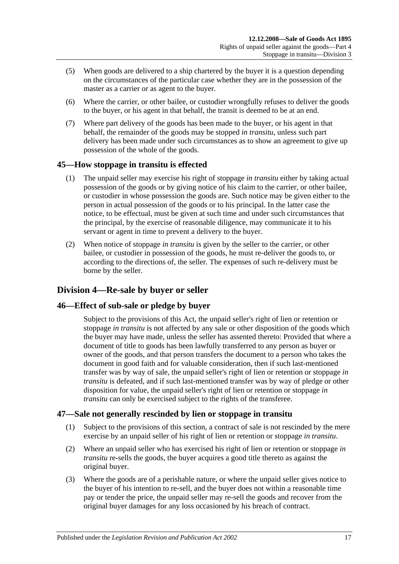- (5) When goods are delivered to a ship chartered by the buyer it is a question depending on the circumstances of the particular case whether they are in the possession of the master as a carrier or as agent to the buyer.
- (6) Where the carrier, or other bailee, or custodier wrongfully refuses to deliver the goods to the buyer, or his agent in that behalf, the transit is deemed to be at an end.
- (7) Where part delivery of the goods has been made to the buyer, or his agent in that behalf, the remainder of the goods may be stopped *in transitu*, unless such part delivery has been made under such circumstances as to show an agreement to give up possession of the whole of the goods.

#### <span id="page-16-0"></span>**45—How stoppage in transitu is effected**

- (1) The unpaid seller may exercise his right of stoppage *in transitu* either by taking actual possession of the goods or by giving notice of his claim to the carrier, or other bailee, or custodier in whose possession the goods are. Such notice may be given either to the person in actual possession of the goods or to his principal. In the latter case the notice, to be effectual, must be given at such time and under such circumstances that the principal, by the exercise of reasonable diligence, may communicate it to his servant or agent in time to prevent a delivery to the buyer.
- (2) When notice of stoppage *in transitu* is given by the seller to the carrier, or other bailee, or custodier in possession of the goods, he must re-deliver the goods to, or according to the directions of, the seller. The expenses of such re-delivery must be borne by the seller.

### <span id="page-16-1"></span>**Division 4—Re-sale by buyer or seller**

#### <span id="page-16-2"></span>**46—Effect of sub-sale or pledge by buyer**

Subject to the provisions of this Act, the unpaid seller's right of lien or retention or stoppage *in transitu* is not affected by any sale or other disposition of the goods which the buyer may have made, unless the seller has assented thereto: Provided that where a document of title to goods has been lawfully transferred to any person as buyer or owner of the goods, and that person transfers the document to a person who takes the document in good faith and for valuable consideration, then if such last-mentioned transfer was by way of sale, the unpaid seller's right of lien or retention or stoppage *in transitu* is defeated, and if such last-mentioned transfer was by way of pledge or other disposition for value, the unpaid seller's right of lien or retention or stoppage *in transitu* can only be exercised subject to the rights of the transferee.

### <span id="page-16-3"></span>**47—Sale not generally rescinded by lien or stoppage in transitu**

- (1) Subject to the provisions of this section, a contract of sale is not rescinded by the mere exercise by an unpaid seller of his right of lien or retention or stoppage *in transitu*.
- (2) Where an unpaid seller who has exercised his right of lien or retention or stoppage *in transitu* re-sells the goods, the buyer acquires a good title thereto as against the original buyer.
- (3) Where the goods are of a perishable nature, or where the unpaid seller gives notice to the buyer of his intention to re-sell, and the buyer does not within a reasonable time pay or tender the price, the unpaid seller may re-sell the goods and recover from the original buyer damages for any loss occasioned by his breach of contract.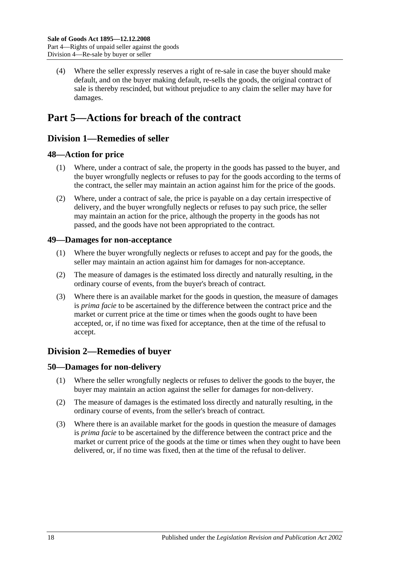(4) Where the seller expressly reserves a right of re-sale in case the buyer should make default, and on the buyer making default, re-sells the goods, the original contract of sale is thereby rescinded, but without prejudice to any claim the seller may have for damages.

# <span id="page-17-0"></span>**Part 5—Actions for breach of the contract**

## <span id="page-17-1"></span>**Division 1—Remedies of seller**

#### <span id="page-17-2"></span>**48—Action for price**

- (1) Where, under a contract of sale, the property in the goods has passed to the buyer, and the buyer wrongfully neglects or refuses to pay for the goods according to the terms of the contract, the seller may maintain an action against him for the price of the goods.
- (2) Where, under a contract of sale, the price is payable on a day certain irrespective of delivery, and the buyer wrongfully neglects or refuses to pay such price, the seller may maintain an action for the price, although the property in the goods has not passed, and the goods have not been appropriated to the contract.

#### <span id="page-17-3"></span>**49—Damages for non-acceptance**

- (1) Where the buyer wrongfully neglects or refuses to accept and pay for the goods, the seller may maintain an action against him for damages for non-acceptance.
- (2) The measure of damages is the estimated loss directly and naturally resulting, in the ordinary course of events, from the buyer's breach of contract.
- (3) Where there is an available market for the goods in question, the measure of damages is *prima facie* to be ascertained by the difference between the contract price and the market or current price at the time or times when the goods ought to have been accepted, or, if no time was fixed for acceptance, then at the time of the refusal to accept.

## <span id="page-17-4"></span>**Division 2—Remedies of buyer**

#### <span id="page-17-5"></span>**50—Damages for non-delivery**

- (1) Where the seller wrongfully neglects or refuses to deliver the goods to the buyer, the buyer may maintain an action against the seller for damages for non-delivery.
- (2) The measure of damages is the estimated loss directly and naturally resulting, in the ordinary course of events, from the seller's breach of contract.
- (3) Where there is an available market for the goods in question the measure of damages is *prima facie* to be ascertained by the difference between the contract price and the market or current price of the goods at the time or times when they ought to have been delivered, or, if no time was fixed, then at the time of the refusal to deliver.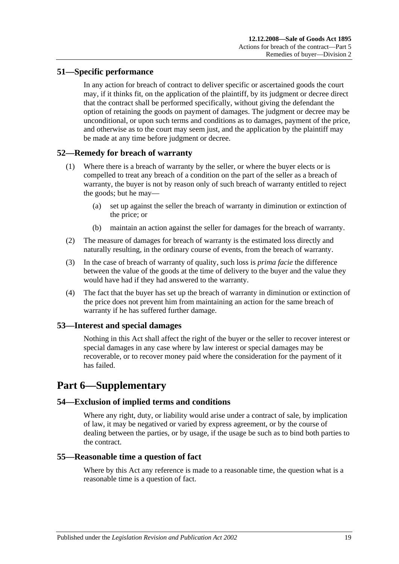### <span id="page-18-0"></span>**51—Specific performance**

In any action for breach of contract to deliver specific or ascertained goods the court may, if it thinks fit, on the application of the plaintiff, by its judgment or decree direct that the contract shall be performed specifically, without giving the defendant the option of retaining the goods on payment of damages. The judgment or decree may be unconditional, or upon such terms and conditions as to damages, payment of the price, and otherwise as to the court may seem just, and the application by the plaintiff may be made at any time before judgment or decree.

### <span id="page-18-1"></span>**52—Remedy for breach of warranty**

- (1) Where there is a breach of warranty by the seller, or where the buyer elects or is compelled to treat any breach of a condition on the part of the seller as a breach of warranty, the buyer is not by reason only of such breach of warranty entitled to reject the goods; but he may—
	- (a) set up against the seller the breach of warranty in diminution or extinction of the price; or
	- (b) maintain an action against the seller for damages for the breach of warranty.
- (2) The measure of damages for breach of warranty is the estimated loss directly and naturally resulting, in the ordinary course of events, from the breach of warranty.
- (3) In the case of breach of warranty of quality, such loss is *prima facie* the difference between the value of the goods at the time of delivery to the buyer and the value they would have had if they had answered to the warranty.
- (4) The fact that the buyer has set up the breach of warranty in diminution or extinction of the price does not prevent him from maintaining an action for the same breach of warranty if he has suffered further damage.

## <span id="page-18-2"></span>**53—Interest and special damages**

Nothing in this Act shall affect the right of the buyer or the seller to recover interest or special damages in any case where by law interest or special damages may be recoverable, or to recover money paid where the consideration for the payment of it has failed.

# <span id="page-18-3"></span>**Part 6—Supplementary**

### <span id="page-18-4"></span>**54—Exclusion of implied terms and conditions**

Where any right, duty, or liability would arise under a contract of sale, by implication of law, it may be negatived or varied by express agreement, or by the course of dealing between the parties, or by usage, if the usage be such as to bind both parties to the contract.

### <span id="page-18-5"></span>**55—Reasonable time a question of fact**

Where by this Act any reference is made to a reasonable time, the question what is a reasonable time is a question of fact.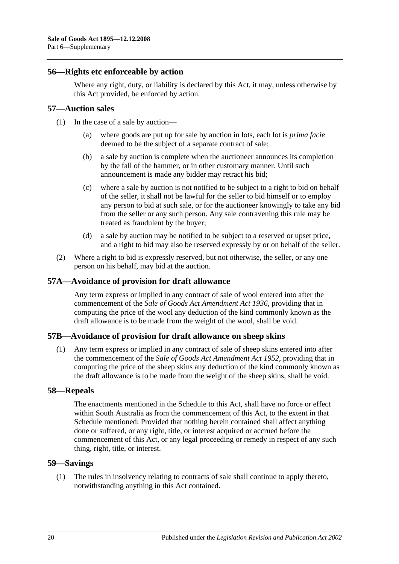#### <span id="page-19-0"></span>**56—Rights etc enforceable by action**

Where any right, duty, or liability is declared by this Act, it may, unless otherwise by this Act provided, be enforced by action.

#### <span id="page-19-1"></span>**57—Auction sales**

(1) In the case of a sale by auction—

- (a) where goods are put up for sale by auction in lots, each lot is *prima facie* deemed to be the subject of a separate contract of sale;
- (b) a sale by auction is complete when the auctioneer announces its completion by the fall of the hammer, or in other customary manner. Until such announcement is made any bidder may retract his bid;
- (c) where a sale by auction is not notified to be subject to a right to bid on behalf of the seller, it shall not be lawful for the seller to bid himself or to employ any person to bid at such sale, or for the auctioneer knowingly to take any bid from the seller or any such person. Any sale contravening this rule may be treated as fraudulent by the buyer;
- (d) a sale by auction may be notified to be subject to a reserved or upset price, and a right to bid may also be reserved expressly by or on behalf of the seller.
- (2) Where a right to bid is expressly reserved, but not otherwise, the seller, or any one person on his behalf, may bid at the auction.

#### <span id="page-19-2"></span>**57A—Avoidance of provision for draft allowance**

Any term express or implied in any contract of sale of wool entered into after the commencement of the *[Sale of Goods Act Amendment Act](http://www.legislation.sa.gov.au/index.aspx?action=legref&type=act&legtitle=Sale%20of%20Goods%20Act%20Amendment%20Act%201936) 1936*, providing that in computing the price of the wool any deduction of the kind commonly known as the draft allowance is to be made from the weight of the wool, shall be void.

#### <span id="page-19-3"></span>**57B—Avoidance of provision for draft allowance on sheep skins**

(1) Any term express or implied in any contract of sale of sheep skins entered into after the commencement of the *[Sale of Goods Act Amendment Act](http://www.legislation.sa.gov.au/index.aspx?action=legref&type=act&legtitle=Sale%20of%20Goods%20Act%20Amendment%20Act%201952) 1952*, providing that in computing the price of the sheep skins any deduction of the kind commonly known as the draft allowance is to be made from the weight of the sheep skins, shall be void.

#### <span id="page-19-4"></span>**58—Repeals**

The enactments mentioned in the [Schedule](#page-20-0) to this Act, shall have no force or effect within South Australia as from the commencement of this Act, to the extent in that [Schedule](#page-20-0) mentioned: Provided that nothing herein contained shall affect anything done or suffered, or any right, title, or interest acquired or accrued before the commencement of this Act, or any legal proceeding or remedy in respect of any such thing, right, title, or interest.

#### <span id="page-19-5"></span>**59—Savings**

(1) The rules in insolvency relating to contracts of sale shall continue to apply thereto, notwithstanding anything in this Act contained.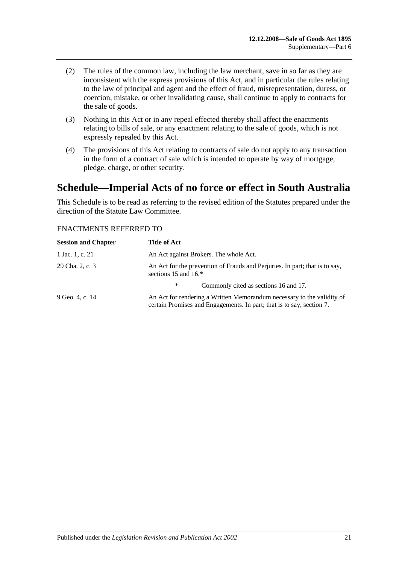- (2) The rules of the common law, including the law merchant, save in so far as they are inconsistent with the express provisions of this Act, and in particular the rules relating to the law of principal and agent and the effect of fraud, misrepresentation, duress, or coercion, mistake, or other invalidating cause, shall continue to apply to contracts for the sale of goods.
- (3) Nothing in this Act or in any repeal effected thereby shall affect the enactments relating to bills of sale, or any enactment relating to the sale of goods, which is not expressly repealed by this Act.
- (4) The provisions of this Act relating to contracts of sale do not apply to any transaction in the form of a contract of sale which is intended to operate by way of mortgage, pledge, charge, or other security.

## <span id="page-20-0"></span>**Schedule—Imperial Acts of no force or effect in South Australia**

This Schedule is to be read as referring to the revised edition of the Statutes prepared under the direction of the Statute Law Committee.

| <b>Session and Chapter</b> | <b>Title of Act</b>                                                                                                                             |  |  |
|----------------------------|-------------------------------------------------------------------------------------------------------------------------------------------------|--|--|
| 1 Jac. 1, c. 21            | An Act against Brokers. The whole Act.                                                                                                          |  |  |
| 29 Cha. 2, c. 3            | An Act for the prevention of Frauds and Perjuries. In part; that is to say,<br>sections 15 and $16.*$                                           |  |  |
|                            | ∗<br>Commonly cited as sections 16 and 17.                                                                                                      |  |  |
| 9 Geo. 4, c. 14            | An Act for rendering a Written Memorandum necessary to the validity of<br>certain Promises and Engagements. In part; that is to say, section 7. |  |  |

#### ENACTMENTS REFERRED TO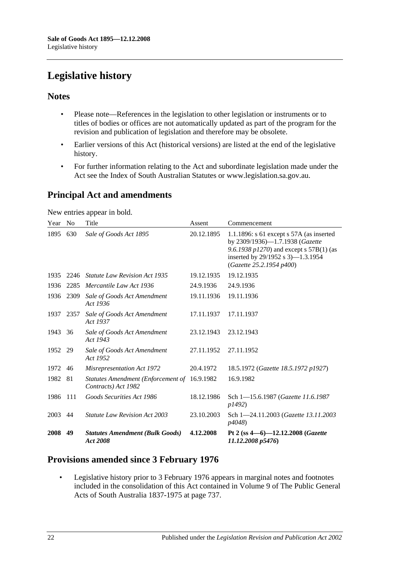# <span id="page-21-0"></span>**Legislative history**

#### **Notes**

- Please note—References in the legislation to other legislation or instruments or to titles of bodies or offices are not automatically updated as part of the program for the revision and publication of legislation and therefore may be obsolete.
- Earlier versions of this Act (historical versions) are listed at the end of the legislative history.
- For further information relating to the Act and subordinate legislation made under the Act see the Index of South Australian Statutes or www.legislation.sa.gov.au.

## **Principal Act and amendments**

New entries appear in bold.

| Year | N <sub>o</sub> | Title                                                               | Assent     | Commencement                                                                                                                                                                                   |
|------|----------------|---------------------------------------------------------------------|------------|------------------------------------------------------------------------------------------------------------------------------------------------------------------------------------------------|
| 1895 | 630            | Sale of Goods Act 1895                                              | 20.12.1895 | 1.1.1896: $s$ 61 except $s$ 57A (as inserted<br>by 2309/1936)-1.7.1938 (Gazette<br>9.6.1938 $p1270$ ) and except s 57B(1) (as<br>inserted by 29/1952 s 3)-1.3.1954<br>(Gazette 25.2.1954 p400) |
| 1935 | 2246           | <b>Statute Law Revision Act 1935</b>                                | 19.12.1935 | 19.12.1935                                                                                                                                                                                     |
| 1936 | 2285           | Mercantile Law Act 1936                                             | 24.9.1936  | 24.9.1936                                                                                                                                                                                      |
| 1936 | 2309           | Sale of Goods Act Amendment<br>Act 1936                             | 19.11.1936 | 19.11.1936                                                                                                                                                                                     |
| 1937 | 2357           | Sale of Goods Act Amendment<br>Act 1937                             | 17.11.1937 | 17.11.1937                                                                                                                                                                                     |
| 1943 | 36             | Sale of Goods Act Amendment<br>Act 1943                             | 23.12.1943 | 23.12.1943                                                                                                                                                                                     |
| 1952 | 29             | Sale of Goods Act Amendment<br>Act 1952                             | 27.11.1952 | 27.11.1952                                                                                                                                                                                     |
| 1972 | 46             | <b>Misrepresentation Act 1972</b>                                   | 20.4.1972  | 18.5.1972 (Gazette 18.5.1972 p1927)                                                                                                                                                            |
| 1982 | 81             | Statutes Amendment (Enforcement of 16.9.1982<br>Contracts) Act 1982 |            | 16.9.1982                                                                                                                                                                                      |
| 1986 | 111            | Goods Securities Act 1986                                           | 18.12.1986 | Sch 1-15.6.1987 (Gazette 11.6.1987)<br><i>p1492</i> )                                                                                                                                          |
| 2003 | 44             | <b>Statute Law Revision Act 2003</b>                                | 23.10.2003 | Sch 1-24.11.2003 (Gazette 13.11.2003)<br>p4048)                                                                                                                                                |
| 2008 | 49             | <b>Statutes Amendment (Bulk Goods)</b><br>Act 2008                  | 4.12.2008  | Pt 2 (ss $4-6$ )-12.12.2008 ( <i>Gazette</i><br>11.12.2008 p5476)                                                                                                                              |

## **Provisions amended since 3 February 1976**

• Legislative history prior to 3 February 1976 appears in marginal notes and footnotes included in the consolidation of this Act contained in Volume 9 of The Public General Acts of South Australia 1837-1975 at page 737.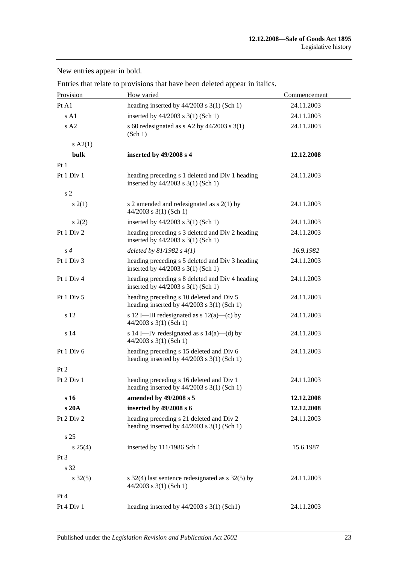Provision How varied **Commencement** Pt A1 heading inserted by 44/2003 s 3(1) (Sch 1) 24.11.2003 s A1 inserted by 44/2003 s 3(1) (Sch 1) 24.11.2003 s A2 s 60 redesignated as s A2 by  $44/2003$  s  $3(1)$ (Sch 1) 24.11.2003 s A2(1) **bulk inserted by 49/2008 s 4 12.12.2008** Pt 1 Pt 1 Div 1 heading preceding s 1 deleted and Div 1 heading inserted by 44/2003 s 3(1) (Sch 1) 24.11.2003 s 2 s  $2(1)$  s 2 amended and redesignated as s  $2(1)$  by 44/2003 s 3(1) (Sch 1) 24.11.2003 s 2(2) inserted by 44/2003 s 3(1) (Sch 1) 24.11.2003 Pt 1 Div 2 heading preceding s 3 deleted and Div 2 heading inserted by 44/2003 s 3(1) (Sch 1) 24.11.2003 *s 4 deleted by 81/1982 s 4(1) 16.9.1982* Pt 1 Div 3 heading preceding s 5 deleted and Div 3 heading inserted by 44/2003 s 3(1) (Sch 1) 24.11.2003 Pt 1 Div 4 heading preceding s 8 deleted and Div 4 heading inserted by 44/2003 s 3(1) (Sch 1) 24.11.2003 Pt 1 Div 5 heading preceding s 10 deleted and Div 5 heading inserted by 44/2003 s 3(1) (Sch 1) 24.11.2003 s 12  $\frac{12 \text{ L}}{11 \text{ released}}$  as s 12(a)–(c) by 44/2003 s 3(1) (Sch 1) 24.11.2003 s 14 I—IV redesignated as s  $14(a)$ —(d) by 44/2003 s 3(1) (Sch 1) 24.11.2003 Pt 1 Div 6 heading preceding s 15 deleted and Div 6 heading inserted by 44/2003 s 3(1) (Sch 1) 24.11.2003 Pt 2 Pt 2 Div 1 heading preceding s 16 deleted and Div 1 heading inserted by 44/2003 s 3(1) (Sch 1) 24.11.2003 **s 16 amended by 49/2008 s 5 12.12.2008 s 20A inserted by 49/2008 s 6 12.12.2008** Pt 2 Div 2 heading preceding s 21 deleted and Div 2 heading inserted by 44/2003 s 3(1) (Sch 1) 24.11.2003 s 25 s 25(4) inserted by 111/1986 Sch 1 15.6.1987 Pt 3 s 32 s 32(5) s 32(4) last sentence redesignated as s 32(5) by 44/2003 s 3(1) (Sch 1) 24.11.2003 Pt 4 Pt 4 Div 1 heading inserted by 44/2003 s 3(1) (Sch1) 24.11.2003

New entries appear in bold.

Entries that relate to provisions that have been deleted appear in italics.